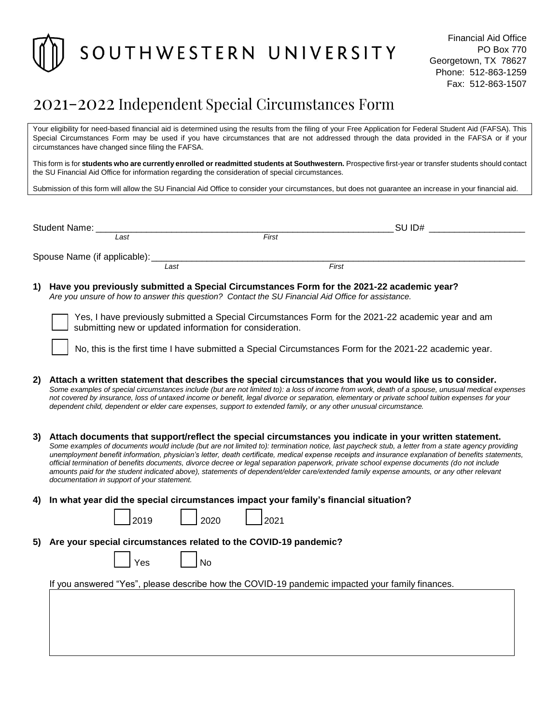

## 2021-2022 Independent Special Circumstances Form

Your eligibility for need-based financial aid is determined using the results from the filing of your Free Application for Federal Student Aid (FAFSA). This Special Circumstances Form may be used if you have circumstances that are not addressed through the data provided in the FAFSA or if your circumstances have changed since filing the FAFSA.

This form is for students who are currently enrolled or readmitted students at Southwestern. Prospective first-year or transfer students should contact the SU Financial Aid Office for information regarding the consideration of special circumstances.

Submission of this form will allow the SU Financial Aid Office to consider your circumstances, but does not guarantee an increase in your financial aid.

| <b>Student Name:</b>         |      |       | SU ID# |  |
|------------------------------|------|-------|--------|--|
| Last                         |      | First |        |  |
| Spouse Name (if applicable): |      |       |        |  |
|                              | Last |       | First  |  |

**1) Have you previously submitted a Special Circumstances Form for the 2021-22 academic year?** *Are you unsure of how to answer this question? Contact the SU Financial Aid Office for assistance.*

Yes, I have previously submitted a Special Circumstances Form for the 2021-22 academic year and am submitting new or updated information for consideration.

No, this is the first time I have submitted a Special Circumstances Form for the 2021-22 academic year.

- **2) Attach a written statement that describes the special circumstances that you would like us to consider.** *Some examples of special circumstances include (but are not limited to): a loss of income from work, death of a spouse, unusual medical expenses not covered by insurance, loss of untaxed income or benefit, legal divorce or separation, elementary or private school tuition expenses for your dependent child, dependent or elder care expenses, support to extended family, or any other unusual circumstance.*
- **3) Attach documents that support/reflect the special circumstances you indicate in your written statement.** *Some examples of documents would include (but are not limited to): termination notice, last paycheck stub, a letter from a state agency providing unemployment benefit information, physician's letter, death certificate, medical expense receipts and insurance explanation of benefits statements, official termination of benefits documents, divorce decree or legal separation paperwork, private school expense documents (do not include amounts paid for the student indicated above), statements of dependent/elder care/extended family expense amounts, or any other relevant documentation in support of your statement.*
- **4) In what year did the special circumstances impact your family's financial situation?**

| 12019 | 2020 | 12021 |
|-------|------|-------|
|       |      |       |

**5) Are your special circumstances related to the COVID-19 pandemic?**

|  | es<br>u |  | N٥ |
|--|---------|--|----|
|--|---------|--|----|

If you answered "Yes", please describe how the COVID-19 pandemic impacted your family finances.